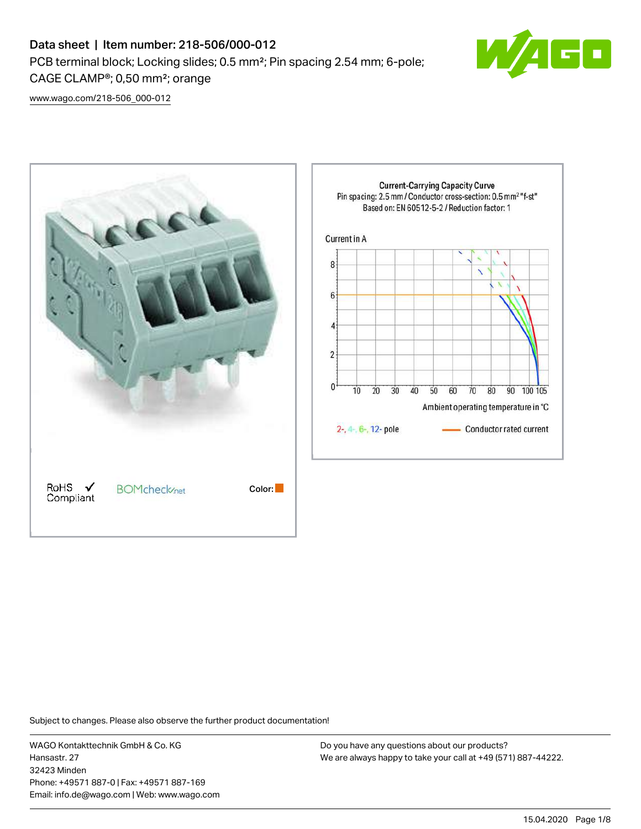# Data sheet | Item number: 218-506/000-012 PCB terminal block; Locking slides; 0.5 mm²; Pin spacing 2.54 mm; 6-pole; CAGE CLAMP®; 0,50 mm²; orange



[www.wago.com/218-506\\_000-012](http://www.wago.com/218-506_000-012)



Subject to changes. Please also observe the further product documentation!

WAGO Kontakttechnik GmbH & Co. KG Hansastr. 27 32423 Minden Phone: +49571 887-0 | Fax: +49571 887-169 Email: info.de@wago.com | Web: www.wago.com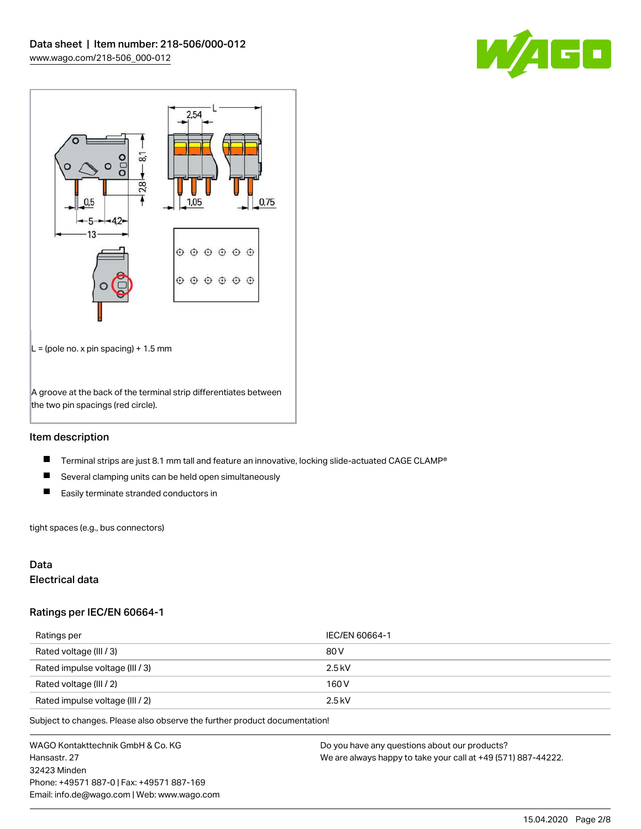



# Item description

- $\blacksquare$ Terminal strips are just 8.1 mm tall and feature an innovative, locking slide-actuated CAGE CLAMP®
- $\blacksquare$ Several clamping units can be held open simultaneously
- $\blacksquare$ Easily terminate stranded conductors in

tight spaces (e.g., bus connectors)

# Data

## Electrical data

#### Ratings per IEC/EN 60664-1

| Ratings per                     | IEC/EN 60664-1 |
|---------------------------------|----------------|
| Rated voltage (III / 3)         | 80 V           |
| Rated impulse voltage (III / 3) | $2.5$ kV       |
| Rated voltage (III / 2)         | 160 V          |
| Rated impulse voltage (III / 2) | $2.5$ kV       |

Subject to changes. Please also observe the further product documentation!

WAGO Kontakttechnik GmbH & Co. KG Hansastr. 27 32423 Minden Phone: +49571 887-0 | Fax: +49571 887-169 Email: info.de@wago.com | Web: www.wago.com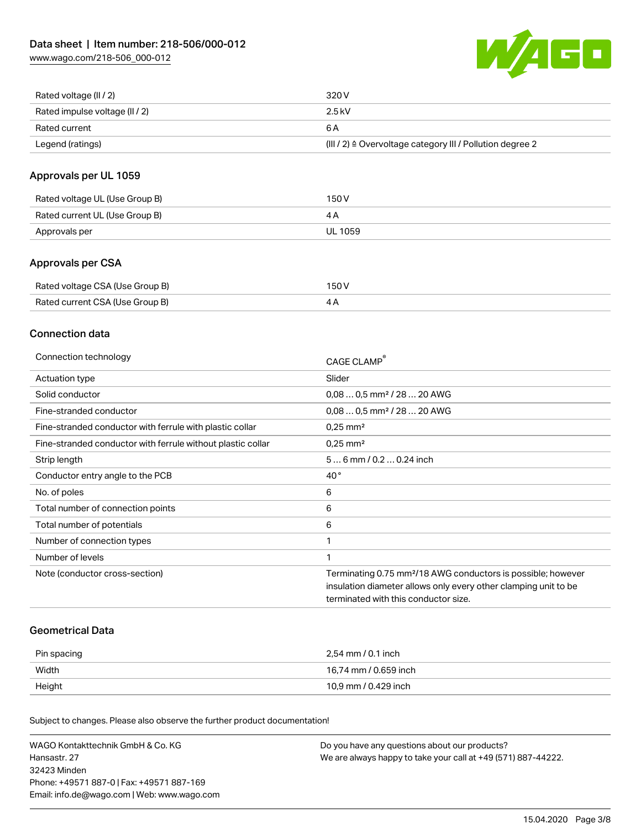[www.wago.com/218-506\\_000-012](http://www.wago.com/218-506_000-012)



| Rated voltage (II / 2)         | 320 V                                                                 |
|--------------------------------|-----------------------------------------------------------------------|
| Rated impulse voltage (II / 2) | 2.5 kV                                                                |
| Rated current                  | 6 A                                                                   |
| Legend (ratings)               | $(III / 2)$ $\triangle$ Overvoltage category III / Pollution degree 2 |

# Approvals per UL 1059

| Rated voltage UL (Use Group B) | 150 V   |
|--------------------------------|---------|
| Rated current UL (Use Group B) |         |
| Approvals per                  | UL 1059 |

# Approvals per CSA

| Rated voltage CSA (Use Group B) | 150 V |
|---------------------------------|-------|
| Rated current CSA (Use Group B) |       |

# Connection data

| Connection technology                                       | CAGE CLAMP                                                               |
|-------------------------------------------------------------|--------------------------------------------------------------------------|
| Actuation type                                              | Slider                                                                   |
| Solid conductor                                             | $0.080.5$ mm <sup>2</sup> / 28  20 AWG                                   |
| Fine-stranded conductor                                     | $0,080,5$ mm <sup>2</sup> / 28  20 AWG                                   |
| Fine-stranded conductor with ferrule with plastic collar    | $0.25$ mm <sup>2</sup>                                                   |
| Fine-stranded conductor with ferrule without plastic collar | $0.25$ mm <sup>2</sup>                                                   |
| Strip length                                                | 56 mm / 0.2 0.24 inch                                                    |
| Conductor entry angle to the PCB                            | $40^{\circ}$                                                             |
| No. of poles                                                | 6                                                                        |
| Total number of connection points                           | 6                                                                        |
| Total number of potentials                                  | 6                                                                        |
| Number of connection types                                  |                                                                          |
| Number of levels                                            |                                                                          |
| Note (conductor cross-section)                              | Terminating 0.75 mm <sup>2</sup> /18 AWG conductors is possible; however |
|                                                             | insulation diameter allows only every other clamping unit to be          |
|                                                             | terminated with this conductor size.                                     |
|                                                             |                                                                          |

## Geometrical Data

| Pin spacing | 2.54 mm / 0.1 inch    |
|-------------|-----------------------|
| Width       | 16,74 mm / 0.659 inch |
| Height      | 10,9 mm / 0.429 inch  |

Subject to changes. Please also observe the further product documentation!

| WAGO Kontakttechnik GmbH & Co. KG           | Do you have any questions about our products?                 |
|---------------------------------------------|---------------------------------------------------------------|
| Hansastr. 27                                | We are always happy to take your call at +49 (571) 887-44222. |
| 32423 Minden                                |                                                               |
| Phone: +49571 887-01 Fax: +49571 887-169    |                                                               |
| Email: info.de@wago.com   Web: www.wago.com |                                                               |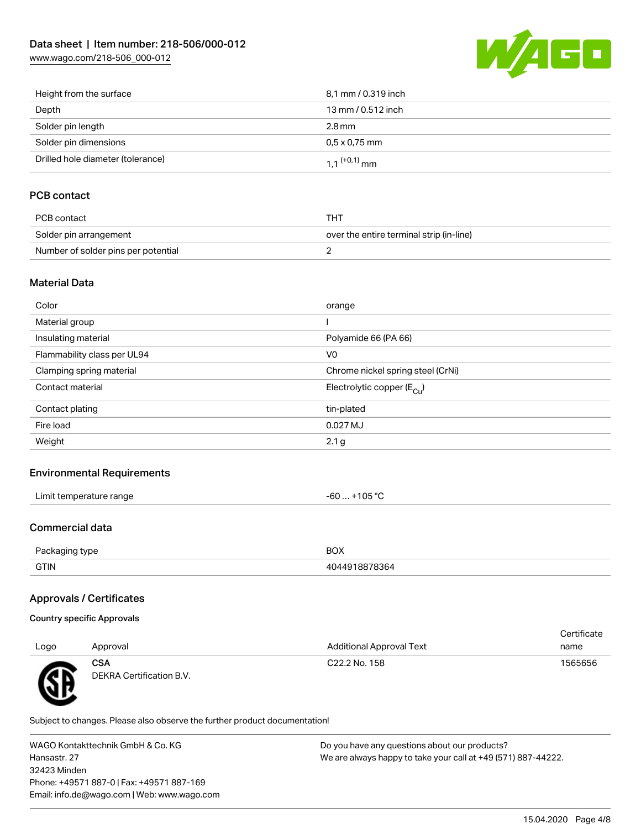[www.wago.com/218-506\\_000-012](http://www.wago.com/218-506_000-012)



| Height from the surface           | 8,1 mm / 0.319 inch        |
|-----------------------------------|----------------------------|
| Depth                             | 13 mm / 0.512 inch         |
| Solder pin length                 | $2.8 \,\mathrm{mm}$        |
| Solder pin dimensions             | $0.5 \times 0.75$ mm       |
| Drilled hole diameter (tolerance) | $1.1$ <sup>(+0,1)</sup> mm |

# PCB contact

| PCB contact                         | THT                                      |
|-------------------------------------|------------------------------------------|
| Solder pin arrangement              | over the entire terminal strip (in-line) |
| Number of solder pins per potential |                                          |

## Material Data

| Color                       | orange                                |
|-----------------------------|---------------------------------------|
| Material group              |                                       |
| Insulating material         | Polyamide 66 (PA 66)                  |
| Flammability class per UL94 | V <sub>0</sub>                        |
| Clamping spring material    | Chrome nickel spring steel (CrNi)     |
| Contact material            | Electrolytic copper $(E_{\text{Cu}})$ |
| Contact plating             | tin-plated                            |
| Fire load                   | 0.027 MJ                              |
| Weight                      | 2.1 <sub>g</sub>                      |
|                             |                                       |

## Environmental Requirements

| $\cdots$            |        |
|---------------------|--------|
| * temperature range | 105 °C |
| ∟imit∴              | -n     |
|                     | w      |
|                     |        |

## Commercial data

| Do.          | <b>BOX</b> |
|--------------|------------|
| ckadind tvbe |            |
| <b>GTIN</b>  | .3h4       |

# Approvals / Certificates

| Country specific Approvals |  |
|----------------------------|--|
|                            |  |

| Logo | Approval                               | <b>Additional Approval Text</b> | Certificate<br>name |
|------|----------------------------------------|---------------------------------|---------------------|
| Æ    | <b>CSA</b><br>DEKRA Certification B.V. | C22.2 No. 158                   | 1565656             |

Subject to changes. Please also observe the further product documentation!

WAGO Kontakttechnik GmbH & Co. KG Hansastr. 27 32423 Minden Phone: +49571 887-0 | Fax: +49571 887-169 Email: info.de@wago.com | Web: www.wago.com Do you have any questions about our products? We are always happy to take your call at +49 (571) 887-44222.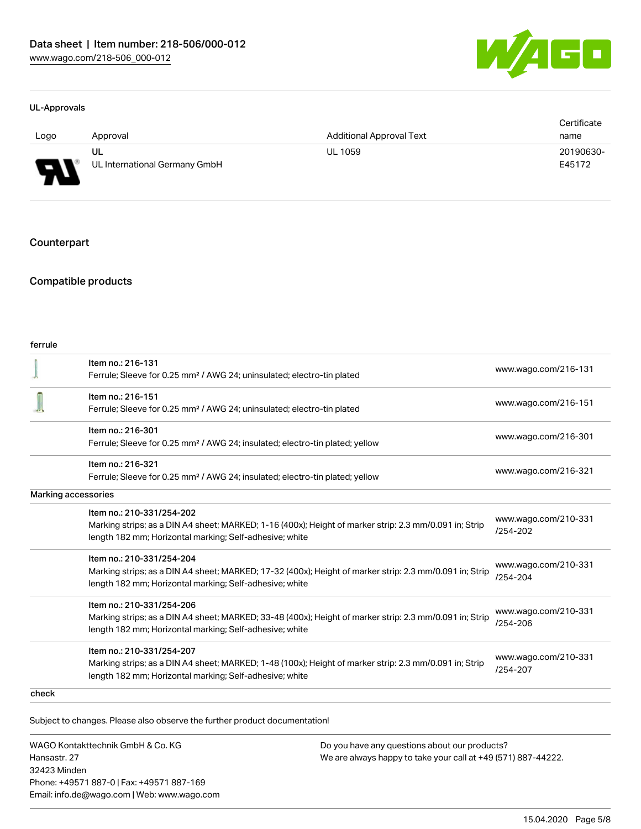

#### UL-Approvals

|          |                                     |                                 | Certificate         |
|----------|-------------------------------------|---------------------------------|---------------------|
| Logo     | Approval                            | <b>Additional Approval Text</b> | name                |
| J<br>. . | UL<br>UL International Germany GmbH | <b>UL 1059</b>                  | 20190630-<br>E45172 |

#### **Counterpart**

### Compatible products

| Item no.: 216-131                                                                                       | www.wago.com/216-131                                                                                                                                                                                                 |  |
|---------------------------------------------------------------------------------------------------------|----------------------------------------------------------------------------------------------------------------------------------------------------------------------------------------------------------------------|--|
|                                                                                                         |                                                                                                                                                                                                                      |  |
|                                                                                                         | www.wago.com/216-151                                                                                                                                                                                                 |  |
|                                                                                                         |                                                                                                                                                                                                                      |  |
| Item no.: 216-301                                                                                       |                                                                                                                                                                                                                      |  |
| Ferrule; Sleeve for 0.25 mm <sup>2</sup> / AWG 24; insulated; electro-tin plated; yellow                | www.wago.com/216-301                                                                                                                                                                                                 |  |
| Item no.: 216-321                                                                                       | www.wago.com/216-321                                                                                                                                                                                                 |  |
| Ferrule; Sleeve for 0.25 mm <sup>2</sup> / AWG 24; insulated; electro-tin plated; yellow                |                                                                                                                                                                                                                      |  |
|                                                                                                         |                                                                                                                                                                                                                      |  |
| Item no.: 210-331/254-202                                                                               |                                                                                                                                                                                                                      |  |
| Marking strips; as a DIN A4 sheet; MARKED; 1-16 (400x); Height of marker strip: 2.3 mm/0.091 in; Strip  | www.wago.com/210-331<br>$/254 - 202$                                                                                                                                                                                 |  |
| length 182 mm; Horizontal marking; Self-adhesive; white                                                 |                                                                                                                                                                                                                      |  |
| Item no.: 210-331/254-204                                                                               |                                                                                                                                                                                                                      |  |
| Marking strips; as a DIN A4 sheet; MARKED; 17-32 (400x); Height of marker strip: 2.3 mm/0.091 in; Strip | www.wago.com/210-331<br>/254-204                                                                                                                                                                                     |  |
| length 182 mm; Horizontal marking; Self-adhesive; white                                                 |                                                                                                                                                                                                                      |  |
| Item no.: 210-331/254-206                                                                               |                                                                                                                                                                                                                      |  |
| Marking strips; as a DIN A4 sheet; MARKED; 33-48 (400x); Height of marker strip: 2.3 mm/0.091 in; Strip | www.wago.com/210-331<br>/254-206                                                                                                                                                                                     |  |
| length 182 mm; Horizontal marking; Self-adhesive; white                                                 |                                                                                                                                                                                                                      |  |
| Item no.: 210-331/254-207                                                                               |                                                                                                                                                                                                                      |  |
| Marking strips; as a DIN A4 sheet; MARKED; 1-48 (100x); Height of marker strip: 2.3 mm/0.091 in; Strip  | www.wago.com/210-331<br>$/254 - 207$                                                                                                                                                                                 |  |
| length 182 mm; Horizontal marking; Self-adhesive; white                                                 |                                                                                                                                                                                                                      |  |
|                                                                                                         |                                                                                                                                                                                                                      |  |
|                                                                                                         | Ferrule; Sleeve for 0.25 mm <sup>2</sup> / AWG 24; uninsulated; electro-tin plated<br>Item no.: 216-151<br>Ferrule; Sleeve for 0.25 mm <sup>2</sup> / AWG 24; uninsulated; electro-tin plated<br>Marking accessories |  |

Subject to changes. Please also observe the further product documentation!

WAGO Kontakttechnik GmbH & Co. KG Hansastr. 27 32423 Minden Phone: +49571 887-0 | Fax: +49571 887-169 Email: info.de@wago.com | Web: www.wago.com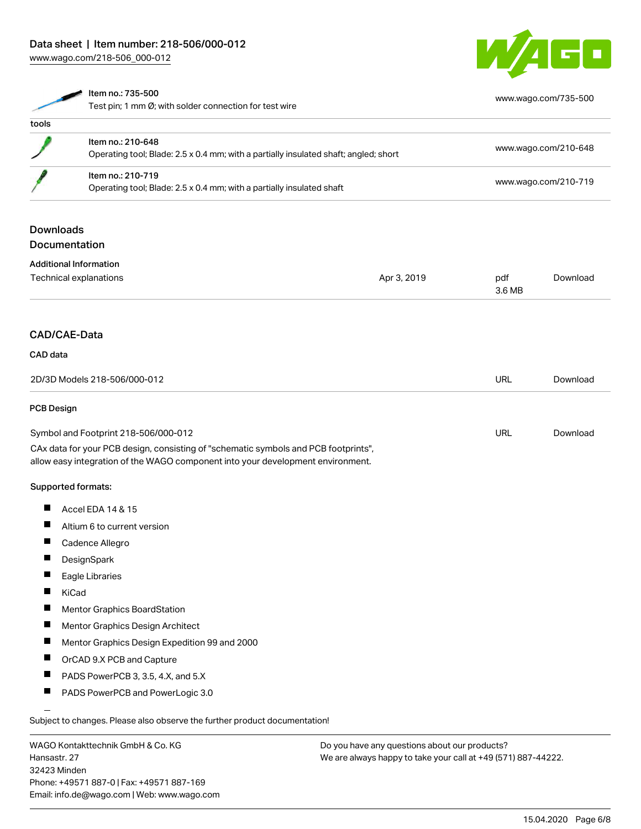[www.wago.com/218-506\\_000-012](http://www.wago.com/218-506_000-012)



|                   | Item no.: 735-500                                                                    |             |               | www.wago.com/735-500 |
|-------------------|--------------------------------------------------------------------------------------|-------------|---------------|----------------------|
|                   | Test pin; 1 mm Ø; with solder connection for test wire                               |             |               |                      |
| tools             |                                                                                      |             |               |                      |
|                   | Item no.: 210-648                                                                    |             |               | www.wago.com/210-648 |
|                   | Operating tool; Blade: 2.5 x 0.4 mm; with a partially insulated shaft; angled; short |             |               |                      |
|                   | Item no.: 210-719                                                                    |             |               | www.wago.com/210-719 |
|                   | Operating tool; Blade: 2.5 x 0.4 mm; with a partially insulated shaft                |             |               |                      |
| <b>Downloads</b>  |                                                                                      |             |               |                      |
|                   | Documentation                                                                        |             |               |                      |
|                   | <b>Additional Information</b>                                                        |             |               |                      |
|                   | Technical explanations                                                               | Apr 3, 2019 | pdf<br>3.6 MB | Download             |
|                   | CAD/CAE-Data                                                                         |             |               |                      |
|                   |                                                                                      |             |               |                      |
| <b>CAD</b> data   |                                                                                      |             |               |                      |
|                   | 2D/3D Models 218-506/000-012                                                         |             | <b>URL</b>    | Download             |
| <b>PCB Design</b> |                                                                                      |             |               |                      |
|                   | Symbol and Footprint 218-506/000-012                                                 |             | <b>URL</b>    | Download             |
|                   | CAx data for your PCB design, consisting of "schematic symbols and PCB footprints",  |             |               |                      |
|                   | allow easy integration of the WAGO component into your development environment.      |             |               |                      |
|                   | Supported formats:                                                                   |             |               |                      |
|                   | Accel EDA 14 & 15                                                                    |             |               |                      |
| ш                 | Altium 6 to current version                                                          |             |               |                      |
|                   | Cadence Allegro                                                                      |             |               |                      |
|                   | DesignSpark                                                                          |             |               |                      |
|                   | Eagle Libraries                                                                      |             |               |                      |
|                   | KiCad                                                                                |             |               |                      |
|                   | Mentor Graphics BoardStation                                                         |             |               |                      |
| a ka              | Mentor Graphics Design Architect                                                     |             |               |                      |
| ш                 | Mentor Graphics Design Expedition 99 and 2000                                        |             |               |                      |

 $\blacksquare$ OrCAD 9.X PCB and Capture

- $\blacksquare$ PADS PowerPCB 3, 3.5, 4.X, and 5.X
- $\blacksquare$ PADS PowerPCB and PowerLogic 3.0

Subject to changes. Please also observe the further product documentation!

WAGO Kontakttechnik GmbH & Co. KG Hansastr. 27 32423 Minden Phone: +49571 887-0 | Fax: +49571 887-169 Email: info.de@wago.com | Web: www.wago.com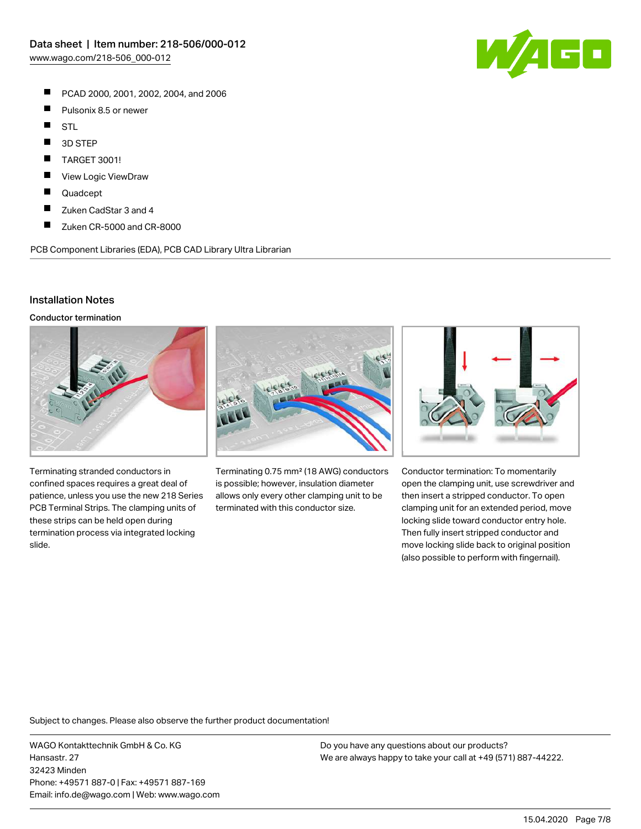- $\blacksquare$ PCAD 2000, 2001, 2002, 2004, and 2006
- $\blacksquare$ Pulsonix 8.5 or newer
- $\blacksquare$ STL
- $\blacksquare$ 3D STEP
- П TARGET 3001!
- П View Logic ViewDraw
- П Quadcept
- $\blacksquare$ Zuken CadStar 3 and 4
- $\blacksquare$ Zuken CR-5000 and CR-8000

PCB Component Libraries (EDA), PCB CAD Library Ultra Librarian

### Installation Notes

Conductor termination



Terminating stranded conductors in confined spaces requires a great deal of patience, unless you use the new 218 Series PCB Terminal Strips. The clamping units of these strips can be held open during termination process via integrated locking slide.



Terminating 0.75 mm² (18 AWG) conductors is possible; however, insulation diameter allows only every other clamping unit to be terminated with this conductor size.



Conductor termination: To momentarily open the clamping unit, use screwdriver and then insert a stripped conductor. To open clamping unit for an extended period, move locking slide toward conductor entry hole. Then fully insert stripped conductor and move locking slide back to original position (also possible to perform with fingernail).

Subject to changes. Please also observe the further product documentation!

WAGO Kontakttechnik GmbH & Co. KG Hansastr. 27 32423 Minden Phone: +49571 887-0 | Fax: +49571 887-169 Email: info.de@wago.com | Web: www.wago.com